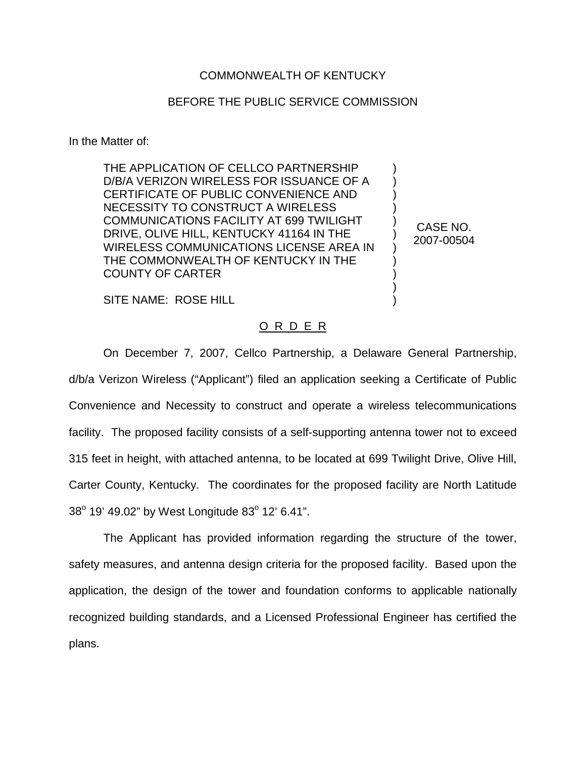## COMMONWEALTH OF KENTUCKY

## BEFORE THE PUBLIC SERVICE COMMISSION

In the Matter of:

THE APPLICATION OF CELLCO PARTNERSHIP D/B/A VERIZON WIRELESS FOR ISSUANCE OF A CERTIFICATE OF PUBLIC CONVENIENCE AND NECESSITY TO CONSTRUCT A WIRELESS COMMUNICATIONS FACILITY AT 699 TWILIGHT DRIVE, OLIVE HILL, KENTUCKY 41164 IN THE WIRELESS COMMUNICATIONS LICENSE AREA IN THE COMMONWEALTH OF KENTUCKY IN THE COUNTY OF CARTER

CASE NO. 2007-00504

) ) ) ) ) ) ) ) ) ) )

SITE NAME: ROSE HILL

## O R D E R

On December 7, 2007, Cellco Partnership, a Delaware General Partnership, d/b/a Verizon Wireless ("Applicant") filed an application seeking a Certificate of Public Convenience and Necessity to construct and operate a wireless telecommunications facility. The proposed facility consists of a self-supporting antenna tower not to exceed 315 feet in height, with attached antenna, to be located at 699 Twilight Drive, Olive Hill, Carter County, Kentucky. The coordinates for the proposed facility are North Latitude  $38^{\circ}$  19' 49.02" by West Longitude 83 $^{\circ}$  12' 6.41".

The Applicant has provided information regarding the structure of the tower, safety measures, and antenna design criteria for the proposed facility. Based upon the application, the design of the tower and foundation conforms to applicable nationally recognized building standards, and a Licensed Professional Engineer has certified the plans.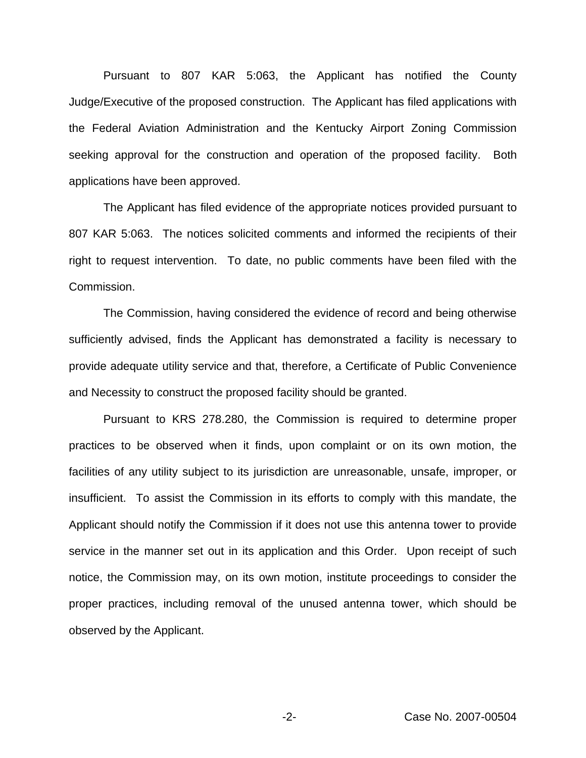Pursuant to 807 KAR 5:063, the Applicant has notified the County Judge/Executive of the proposed construction. The Applicant has filed applications with the Federal Aviation Administration and the Kentucky Airport Zoning Commission seeking approval for the construction and operation of the proposed facility. Both applications have been approved.

The Applicant has filed evidence of the appropriate notices provided pursuant to 807 KAR 5:063. The notices solicited comments and informed the recipients of their right to request intervention. To date, no public comments have been filed with the Commission.

The Commission, having considered the evidence of record and being otherwise sufficiently advised, finds the Applicant has demonstrated a facility is necessary to provide adequate utility service and that, therefore, a Certificate of Public Convenience and Necessity to construct the proposed facility should be granted.

Pursuant to KRS 278.280, the Commission is required to determine proper practices to be observed when it finds, upon complaint or on its own motion, the facilities of any utility subject to its jurisdiction are unreasonable, unsafe, improper, or insufficient. To assist the Commission in its efforts to comply with this mandate, the Applicant should notify the Commission if it does not use this antenna tower to provide service in the manner set out in its application and this Order. Upon receipt of such notice, the Commission may, on its own motion, institute proceedings to consider the proper practices, including removal of the unused antenna tower, which should be observed by the Applicant.